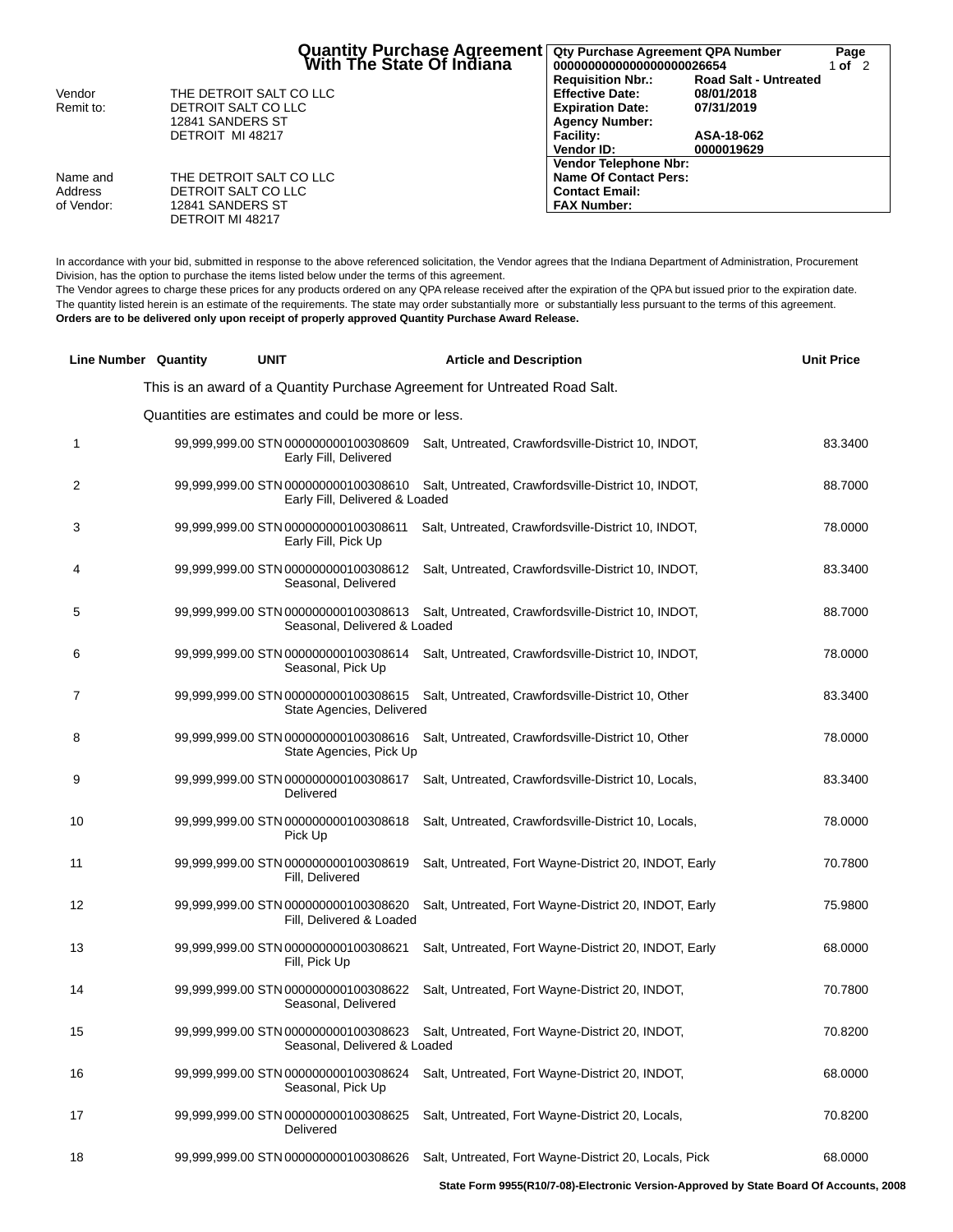|                                   | Quantity Purchase Agreement   Qty Purchase Agreement QPA Number<br>With The State Of Indiana   0000000000000000000026654 |                                                                                                                                          |                                                                        | Page<br>1 of $2$ |
|-----------------------------------|--------------------------------------------------------------------------------------------------------------------------|------------------------------------------------------------------------------------------------------------------------------------------|------------------------------------------------------------------------|------------------|
| Vendor<br>Remit to:               | THE DETROIT SALT CO LLC<br>DETROIT SALT CO LLC<br>12841 SANDERS ST<br>DETROIT MI 48217                                   | <b>Requisition Nbr.:</b><br><b>Effective Date:</b><br><b>Expiration Date:</b><br><b>Agency Number:</b><br><b>Facility:</b><br>Vendor ID: | <b>Road Salt - Untreated</b><br>08/01/2018<br>07/31/2019<br>ASA-18-062 |                  |
| Name and<br>Address<br>of Vendor: | THE DETROIT SALT CO LLC<br>DETROIT SALT CO LLC<br>12841 SANDERS ST<br>DETROIT MI 48217                                   | <b>Vendor Telephone Nbr:</b><br>Name Of Contact Pers:<br><b>Contact Email:</b><br><b>FAX Number:</b>                                     | 0000019629                                                             |                  |

In accordance with your bid, submitted in response to the above referenced solicitation, the Vendor agrees that the Indiana Department of Administration, Procurement Division, has the option to purchase the items listed below under the terms of this agreement.

The Vendor agrees to charge these prices for any products ordered on any QPA release received after the expiration of the QPA but issued prior to the expiration date. The quantity listed herein is an estimate of the requirements. The state may order substantially more or substantially less pursuant to the terms of this agreement. **Orders are to be delivered only upon receipt of properly approved Quantity Purchase Award Release.**

|    | <b>Line Number Quantity</b> | <b>UNIT</b>                                                          | <b>Article and Description</b>                                                           | <b>Unit Price</b> |
|----|-----------------------------|----------------------------------------------------------------------|------------------------------------------------------------------------------------------|-------------------|
|    |                             |                                                                      | This is an award of a Quantity Purchase Agreement for Untreated Road Salt.               |                   |
|    |                             | Quantities are estimates and could be more or less.                  |                                                                                          |                   |
| 1  |                             | 99,999,999.00 STN 000000000100308609<br>Early Fill, Delivered        | Salt, Untreated, Crawfordsville-District 10, INDOT,                                      | 83.3400           |
| 2  |                             | Early Fill, Delivered & Loaded                                       | 99,999,999.00 STN 000000000100308610 Salt, Untreated, Crawfordsville-District 10, INDOT, | 88.7000           |
| 3  |                             | 99,999,999.00 STN 000000000100308611<br>Early Fill, Pick Up          | Salt, Untreated, Crawfordsville-District 10, INDOT,                                      | 78.0000           |
| 4  |                             | 99,999,999.00 STN 000000000100308612<br>Seasonal, Delivered          | Salt, Untreated, Crawfordsville-District 10, INDOT,                                      | 83.3400           |
| 5  |                             | 99,999,999.00 STN 000000000100308613<br>Seasonal, Delivered & Loaded | Salt, Untreated, Crawfordsville-District 10, INDOT,                                      | 88.7000           |
| 6  |                             | 99,999,999.00 STN 000000000100308614<br>Seasonal, Pick Up            | Salt, Untreated, Crawfordsville-District 10, INDOT,                                      | 78.0000           |
| 7  |                             | State Agencies, Delivered                                            | 99,999,999.00 STN 000000000100308615 Salt, Untreated, Crawfordsville-District 10, Other  | 83.3400           |
| 8  |                             | 99,999,999.00 STN 000000000100308616<br>State Agencies, Pick Up      | Salt, Untreated, Crawfordsville-District 10, Other                                       | 78.0000           |
| 9  |                             | 99,999,999.00 STN 000000000100308617<br>Delivered                    | Salt, Untreated, Crawfordsville-District 10, Locals,                                     | 83.3400           |
| 10 |                             | 99,999,999.00 STN 000000000100308618<br>Pick Up                      | Salt, Untreated, Crawfordsville-District 10, Locals,                                     | 78.0000           |
| 11 |                             | 99,999,999.00 STN 000000000100308619<br>Fill, Delivered              | Salt, Untreated, Fort Wayne-District 20, INDOT, Early                                    | 70.7800           |
| 12 |                             | 99,999,999.00 STN 000000000100308620<br>Fill, Delivered & Loaded     | Salt, Untreated, Fort Wayne-District 20, INDOT, Early                                    | 75.9800           |
| 13 |                             | 99,999,999.00 STN 000000000100308621<br>Fill, Pick Up                | Salt, Untreated, Fort Wayne-District 20, INDOT, Early                                    | 68.0000           |
| 14 |                             | 99,999,999.00 STN 000000000100308622<br>Seasonal, Delivered          | Salt, Untreated, Fort Wayne-District 20, INDOT,                                          | 70.7800           |
| 15 |                             | Seasonal, Delivered & Loaded                                         | 99,999,999.00 STN 000000000100308623 Salt, Untreated, Fort Wayne-District 20, INDOT,     | 70.8200           |
| 16 |                             | 99,999,999.00 STN 000000000100308624<br>Seasonal, Pick Up            | Salt, Untreated, Fort Wayne-District 20, INDOT,                                          | 68.0000           |
| 17 |                             | 99,999,999.00 STN 000000000100308625<br>Delivered                    | Salt, Untreated, Fort Wayne-District 20, Locals,                                         | 70.8200           |
| 18 |                             | 99,999,999.00 STN 000000000100308626                                 | Salt, Untreated, Fort Wayne-District 20, Locals, Pick                                    | 68.0000           |